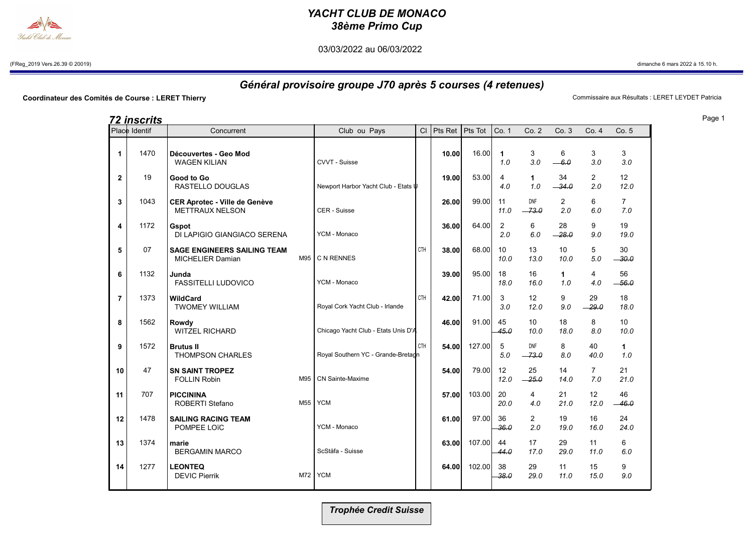## YACHT CLUB DE MONACO 38ème Primo Cup

03/03/2022 au 06/03/2022

(FReg\_2019 Vers.26.39 © 20019) dimanche 6 mars 2022 à 15.10 h.

## Général provisoire groupe J70 après 5 courses (4 retenues)

Coordinateur des Comités de Course : LERET Thierry **Commissaire aux Résultats : LERET LEYDET Patricia** 

|                | <u>72 inscrits</u> |                                                                |     |                                     |     |                        |        |                     |                         |                       |                       |                       |
|----------------|--------------------|----------------------------------------------------------------|-----|-------------------------------------|-----|------------------------|--------|---------------------|-------------------------|-----------------------|-----------------------|-----------------------|
|                | Place Identif      | Concurrent                                                     |     | Club ou Pays                        |     | $Cl$ Pts Ret   Pts Tot |        | Co. 1               | Co. 2                   | Co.3                  | Co. 4                 | Co.5                  |
| 1              | 1470               | Découvertes - Geo Mod<br><b>WAGEN KILIAN</b>                   |     | CVVT - Suisse                       |     | 10.00                  | 16.00  | $\mathbf{1}$<br>1.0 | 3<br>3.0                | 6<br>$-6.0$           | 3<br>3.0              | 3<br>3.0              |
| $\mathbf{2}$   | 19                 | Good to Go<br>RASTELLO DOUGLAS                                 |     | Newport Harbor Yacht Club - Etats U |     | 19.00                  | 53.00  | 4<br>4.0            | 1<br>1.0                | 34<br>$-34.0$         | $\overline{2}$<br>2.0 | 12<br>12.0            |
| 3              | 1043               | <b>CER Aprotec - Ville de Genève</b><br><b>METTRAUX NELSON</b> |     | CER - Suisse                        |     | 26.00                  | 99.00  | 11<br>11.0          | <b>DNF</b><br>$-73.0$   | $\overline{2}$<br>2.0 | 6<br>6.0              | $\overline{7}$<br>7.0 |
| 4              | 1172               | Gspot<br>DI LAPIGIO GIANGIACO SERENA                           |     | YCM - Monaco                        |     | 36.00                  | 64.00  | 2<br>2.0            | 6<br>6.0                | 28<br>$-28.0$         | 9<br>9.0              | 19<br>19.0            |
| 5              | 07                 | <b>SAGE ENGINEERS SAILING TEAM</b><br><b>MICHELIER Damian</b>  |     | M95 C N RENNES                      | CTH | 38.00                  | 68.00  | 10<br>10.0          | 13<br>13.0              | 10<br>10.0            | 5<br>5.0              | 30<br>$-30.0$         |
| 6              | 1132               | Junda<br><b>FASSITELLI LUDOVICO</b>                            |     | YCM - Monaco                        |     | 39.00                  | 95.00  | 18<br>18.0          | 16<br>16.0              | $\mathbf 1$<br>1.0    | 4<br>4.0              | 56<br>$-56.0$         |
| $\overline{7}$ | 1373               | WildCard<br><b>TWOMEY WILLIAM</b>                              |     | Royal Cork Yacht Club - Irlande     | CTH | 42.00                  | 71.00  | 3<br>3.0            | 12<br>12.0              | 9<br>9.0              | 29<br>$-29.0$         | 18<br>18.0            |
| 8              | 1562               | Rowdy<br><b>WITZEL RICHARD</b>                                 |     | Chicago Yacht Club - Etats Unis D'A |     | 46.00                  | 91.00  | 45<br>45.0          | 10 <sup>°</sup><br>10.0 | 18<br>18.0            | 8<br>8.0              | 10<br>10.0            |
| 9              | 1572               | <b>Brutus II</b><br><b>THOMPSON CHARLES</b>                    |     | Royal Southern YC - Grande-Bretadn  | CTH | 54.00                  | 127.00 | 5<br>5.0            | <b>DNF</b><br>$-73.0$   | 8<br>8.0              | 40<br>40.0            | $\mathbf 1$<br>1.0    |
| 10             | 47                 | <b>SN SAINT TROPEZ</b><br><b>FOLLIN Robin</b>                  | M95 | <b>CN Sainte-Maxime</b>             |     | 54.00                  | 79.00  | 12<br>12.0          | 25<br>$-25.0$           | 14<br>14.0            | $7^{\circ}$<br>7.0    | 21<br>21.0            |
| 11             | 707                | <b>PICCININA</b><br><b>ROBERTI Stefano</b>                     | M55 | <b>YCM</b>                          |     | 57.00                  | 103.00 | 20<br>20.0          | 4<br>4.0                | 21<br>21.0            | 12<br>12.0            | 46<br>$-46.0$         |
| 12             | 1478               | <b>SAILING RACING TEAM</b><br>POMPEE LOTC                      |     | YCM - Monaco                        |     | 61.00                  | 97.00  | 36<br>36.0          | $\overline{2}$<br>2.0   | 19<br>19.0            | 16<br>16.0            | 24<br>24.0            |
| 13             | 1374               | marie<br><b>BERGAMIN MARCO</b>                                 |     | ScStäfa - Suisse                    |     | 63.00                  | 107.00 | 44<br>44.0          | 17<br>17.0              | 29<br>29.0            | 11<br>11.0            | 6<br>6.0              |
| 14             | 1277               | <b>LEONTEQ</b><br><b>DEVIC Pierrik</b>                         |     | M72 YCM                             |     | 64.00                  | 102.00 | 38<br>38.0          | 29<br>29.0              | 11<br>11.0            | 15<br>15.0            | 9<br>9.0              |
|                |                    |                                                                |     |                                     |     |                        |        |                     |                         |                       |                       |                       |

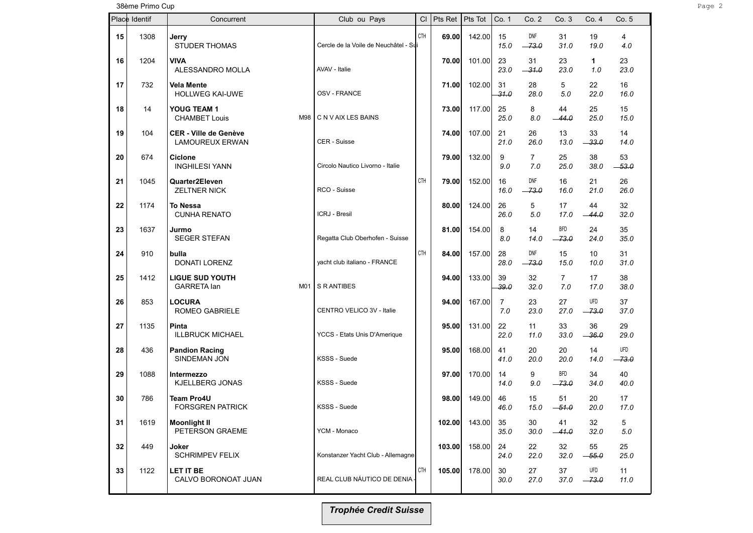38ème Primo Cup Page 2 and 2014 and 2014 and 2014 and 2014 and 2014 and 2014 and 2014 and 2014 and 2014 and 20

| Place Identif |      | Concurrent                                             | Club ou Pays                          | CI         | Pts Ret | Pts Tot | Co. 1                 | Co.2                  | Co. 3                 | Co. 4                   | Co. 5          |
|---------------|------|--------------------------------------------------------|---------------------------------------|------------|---------|---------|-----------------------|-----------------------|-----------------------|-------------------------|----------------|
| 15            | 1308 | Jerry<br><b>STUDER THOMAS</b>                          | Cercle de la Voile de Neuchâtel - Sui | <b>CTH</b> | 69.00   | 142.00  | 15<br>15.0            | <b>DNF</b><br>$-73.0$ | 31<br>31.0            | 19<br>19.0              | 4<br>4.0       |
| 16            | 1204 | <b>VIVA</b><br>ALESSANDRO MOLLA                        | AVAV - Italie                         |            | 70.00   | 101.00  | 23<br>23.0            | 31<br>$-31.0$         | 23<br>23.0            | $\mathbf{1}$<br>1.0     | 23<br>23.0     |
| 17            | 732  | <b>Vela Mente</b><br><b>HOLLWEG KAI-UWE</b>            | OSV - FRANCE                          |            | 71.00   | 102.00  | 31<br>31.0            | 28<br>28.0            | 5<br>5.0              | 22<br>22.0              | 16<br>16.0     |
| 18            | 14   | YOUG TEAM 1<br><b>CHAMBET Louis</b><br>M98             | C N V AIX LES BAINS                   |            | 73.00   | 117.00  | 25<br>25.0            | 8<br>8.0              | 44<br>$-44.0$         | 25<br>25.0              | 15<br>15.0     |
| 19            | 104  | <b>CER - Ville de Genève</b><br><b>LAMOUREUX ERWAN</b> | CER - Suisse                          |            | 74.00   | 107.00  | 21<br>21.0            | 26<br>26.0            | 13<br>13.0            | 33<br>-33.0             | 14<br>14.0     |
| 20            | 674  | <b>Ciclone</b><br><b>INGHILESI YANN</b>                | Circolo Nautico Livorno - Italie      |            | 79.00   | 132.00  | 9<br>9.0              | $\overline{7}$<br>7.0 | 25<br>25.0            | 38<br>38.0              | 53<br>$-53.0$  |
| 21            | 1045 | Quarter2Eleven<br><b>ZELTNER NICK</b>                  | RCO - Suisse                          | CTH        | 79.00   | 152.00  | 16<br>16.0            | DNF<br>$-73.0$        | 16<br>16.0            | 21<br>21.0              | 26<br>26.0     |
| 22            | 1174 | <b>To Nessa</b><br><b>CUNHA RENATO</b>                 | ICRJ - Bresil                         |            | 80.00   | 124.00  | 26<br>26.0            | 5<br>5.0              | 17<br>17.0            | 44<br>$-44.0$           | 32<br>32.0     |
| 23            | 1637 | Jurmo<br><b>SEGER STEFAN</b>                           | Regatta Club Oberhofen - Suisse       |            | 81.00   | 154.00  | 8<br>8.0              | 14<br>14.0            | <b>BFD</b><br>$-73.0$ | 24<br>24.0              | 35<br>35.0     |
| 24            | 910  | bulla<br>DONATI LORENZ                                 | yacht club italiano - FRANCE          | CTH        | 84.00   | 157.00  | 28<br>28.0            | DNF<br>$-73.0$        | 15<br>15.0            | 10 <sup>°</sup><br>10.0 | 31<br>31.0     |
| 25            | 1412 | <b>LIGUE SUD YOUTH</b><br><b>GARRETA lan</b><br>M01    | <b>S R ANTIBES</b>                    |            | 94.00   | 133.00  | 39<br>39.0            | 32<br>32.0            | $\overline{7}$<br>7.0 | 17<br>17.0              | 38<br>38.0     |
| 26            | 853  | <b>LOCURA</b><br><b>ROMEO GABRIELE</b>                 | CENTRO VELICO 3V - Italie             |            | 94.00   | 167.00  | $\overline{7}$<br>7.0 | 23<br>23.0            | 27<br>27.0            | UFD<br>$-73.0$          | 37<br>37.0     |
| 27            | 1135 | Pinta<br><b>ILLBRUCK MICHAEL</b>                       | YCCS - Etats Unis D'Amerique          |            | 95.00   | 131.00  | 22<br>22.0            | 11<br>11.0            | 33<br>33.0            | 36<br>$-36.0$           | 29<br>29.0     |
| 28            | 436  | <b>Pandion Racing</b><br>SINDEMAN JON                  | KSSS - Suede                          |            | 95.00   | 168.00  | 41<br>41.0            | 20<br>20.0            | 20<br>20.0            | 14<br>14.0              | UFD<br>$-73.0$ |
| 29            | 1088 | Intermezzo<br>KJELLBERG JONAS                          | KSSS - Suede                          |            | 97.00   | 170.00  | 14<br>14.0            | 9<br>9.0              | <b>BFD</b><br>$-73.0$ | 34<br>34.0              | 40<br>40.0     |
| 30            | 786  | Team Pro4U<br><b>FORSGREN PATRICK</b>                  | KSSS - Suede                          |            | 98.00   | 149.00  | 46<br>46.0            | 15<br>15.0            | 51<br>$-51.0$         | 20<br>20.0              | 17<br>17.0     |
| 31            | 1619 | <b>Moonlight II</b><br>PETERSON GRAEME                 | YCM - Monaco                          |            | 102.00  | 143.00  | 35<br>35.0            | 30<br>30.0            | 41<br>$-41.0$         | 32<br>32.0              | 5<br>5.0       |
| 32            | 449  | Joker<br><b>SCHRIMPEV FELIX</b>                        | Konstanzer Yacht Club - Allemagne     |            | 103.00  | 158.00  | 24<br>24.0            | 22<br>22.0            | 32<br>32.0            | 55<br>$-55.0$           | 25<br>25.0     |
| 33            | 1122 | <b>LET IT BE</b><br>CALVO BORONOAT JUAN                | REAL CLUB NÁUTICO DE DENIA            | CTH        | 105.00  | 178.00  | 30<br>30.0            | 27<br>27.0            | 37<br>37.0            | UFD<br>$-73.0$          | 11<br>11.0     |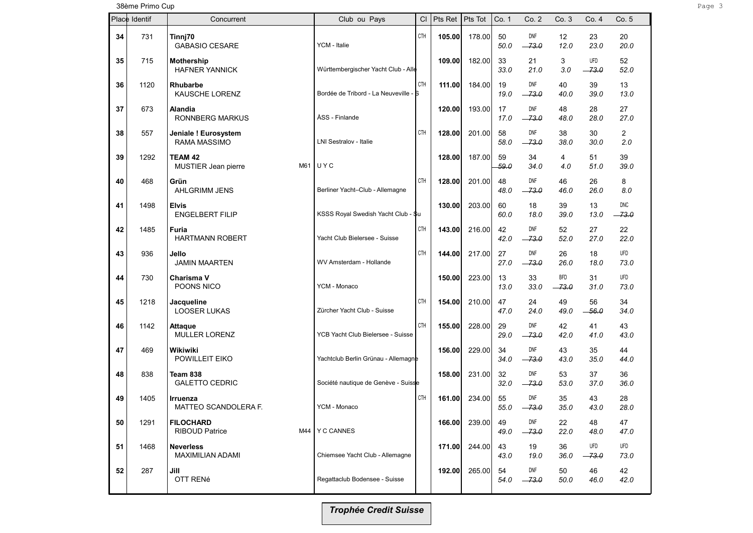38ème Primo Cup Page 3 and the Second Library of the Second Library of the Second Library of the Second Library of the Second Library of the Second Library of the Second Library of the Second Library of the Second Library

| Place Identif |      | Concurrent                                       | Club ou Pays                          | СI         | Pts Ret | Pts Tot | Co. 1      | Co. 2                 | Co.3                  | Co. 4          | Co.5                  |
|---------------|------|--------------------------------------------------|---------------------------------------|------------|---------|---------|------------|-----------------------|-----------------------|----------------|-----------------------|
| 34            | 731  | Tinnj70<br><b>GABASIO CESARE</b>                 | YCM - Italie                          | <b>CTH</b> | 105.00  | 178.00  | 50<br>50.0 | <b>DNF</b><br>$-73.0$ | 12<br>12.0            | 23<br>23.0     | 20<br>20.0            |
| 35            | 715  | Mothership<br><b>HAFNER YANNICK</b>              | Württembergischer Yacht Club - Alle   |            | 109.00  | 182.00  | 33<br>33.0 | 21<br>21.0            | 3<br>3.0              | UFD<br>$-73.0$ | 52<br>52.0            |
| 36            | 1120 | Rhubarbe<br>KAUSCHE LORENZ                       | Bordée de Tribord - La Neuveville - S | CTH        | 111.00  | 184.00  | 19<br>19.0 | <b>DNF</b><br>$-73.0$ | 40<br>40.0            | 39<br>39.0     | 13<br>13.0            |
| 37            | 673  | Alandia<br><b>RONNBERG MARKUS</b>                | ÅSS - Finlande                        |            | 120.00  | 193.00  | 17<br>17.0 | <b>DNF</b><br>$-73.0$ | 48<br>48.0            | 28<br>28.0     | 27<br>27.0            |
| 38            | 557  | Jeniale ! Eurosystem<br><b>RAMA MASSIMO</b>      | LNI Sestralov - Italie                | CTH        | 128.00  | 201.00  | 58<br>58.0 | <b>DNF</b><br>$-73.0$ | 38<br>38.0            | 30<br>30.0     | $\overline{2}$<br>2.0 |
| 39            | 1292 | TEAM 42<br>MUSTIER Jean pierre<br>M61            | UYC                                   |            | 128.00  | 187.00  | 59<br>59.0 | 34<br>34.0            | 4<br>4.0              | 51<br>51.0     | 39<br>39.0            |
| 40            | 468  | Grün<br><b>AHLGRIMM JENS</b>                     | Berliner Yacht-Club - Allemagne       | CTH        | 128.00  | 201.00  | 48<br>48.0 | <b>DNF</b><br>$-73.0$ | 46<br>46.0            | 26<br>26.0     | 8<br>8.0              |
| 41            | 1498 | Elvis<br><b>ENGELBERT FILIP</b>                  | KSSS Royal Swedish Yacht Club - \$u   |            | 130.00  | 203.00  | 60<br>60.0 | 18<br>18.0            | 39<br>39.0            | 13<br>13.0     | <b>DNC</b><br>$-73.0$ |
| 42            | 1485 | Furia<br><b>HARTMANN ROBERT</b>                  | Yacht Club Bielersee - Suisse         | CTH        | 143.00  | 216.00  | 42<br>42.0 | <b>DNF</b><br>$-73.0$ | 52<br>52.0            | 27<br>27.0     | 22<br>22.0            |
| 43            | 936  | Jello<br><b>JAMIN MAARTEN</b>                    | WV Amsterdam - Hollande               | CTH        | 144.00  | 217.00  | 27<br>27.0 | DNF<br>$-73.0$        | 26<br>26.0            | 18<br>18.0     | <b>UFD</b><br>73.0    |
| 44            | 730  | Charisma V<br>POONS NICO                         | YCM - Monaco                          |            | 150.00  | 223.00  | 13<br>13.0 | 33<br>33.0            | <b>BFD</b><br>$-73.0$ | 31<br>31.0     | <b>UFD</b><br>73.0    |
| 45            | 1218 | Jacqueline<br><b>LOOSER LUKAS</b>                | Zürcher Yacht Club - Suisse           | CTH        | 154.00  | 210.00  | 47<br>47.0 | 24<br>24.0            | 49<br>49.0            | 56<br>$-56.0$  | 34<br>34.0            |
| 46            | 1142 | Attaque<br>MULLER LORENZ                         | YCB Yacht Club Bielersee - Suisse     | <b>CTH</b> | 155.00  | 228.00  | 29<br>29.0 | <b>DNF</b><br>$-73.0$ | 42<br>42.0            | 41<br>41.0     | 43<br>43.0            |
| 47            | 469  | Wikiwiki<br>POWILLEIT EIKO                       | Yachtclub Berlin Grünau - Allemagne   |            | 156.00  | 229.00  | 34<br>34.0 | DNF<br>-- 73.0        | 43<br>43.0            | 35<br>35.0     | 44<br>44.0            |
| 48            | 838  | Team 838<br><b>GALETTO CEDRIC</b>                | Société nautique de Genève - Suisse   |            | 158.00  | 231.00  | 32<br>32.0 | <b>DNF</b><br>$-73.0$ | 53<br>53.0            | 37<br>37.0     | 36<br>36.0            |
| 49            | 1405 | Irruenza<br><b>MATTEO SCANDOLERA F.</b>          | YCM - Monaco                          | CTH        | 161.00  | 234.00  | 55<br>55.0 | <b>DNF</b><br>$-73.0$ | 35<br>35.0            | 43<br>43.0     | 28<br>28.0            |
| 50            | 1291 | <b>FILOCHARD</b><br><b>RIBOUD Patrice</b><br>M44 | Y C CANNES                            |            | 166.00  | 239.00  | 49<br>49.0 | DNF<br>$-73.0$        | 22<br>22.0            | 48<br>48.0     | 47<br>47.0            |
| 51            | 1468 | <b>Neverless</b><br><b>MAXIMILIAN ADAMI</b>      | Chiemsee Yacht Club - Allemagne       |            | 171.00  | 244.00  | 43<br>43.0 | 19<br>19.0            | 36<br>36.0            | UFD<br>$-73.0$ | <b>UFD</b><br>73.0    |
| 52            | 287  | Jill<br>OTT RENé                                 | Regattaclub Bodensee - Suisse         |            | 192.00  | 265.00  | 54<br>54.0 | DNF<br>$-73.0$        | 50<br>50.0            | 46<br>46.0     | 42<br>42.0            |
|               |      |                                                  |                                       |            |         |         |            |                       |                       |                |                       |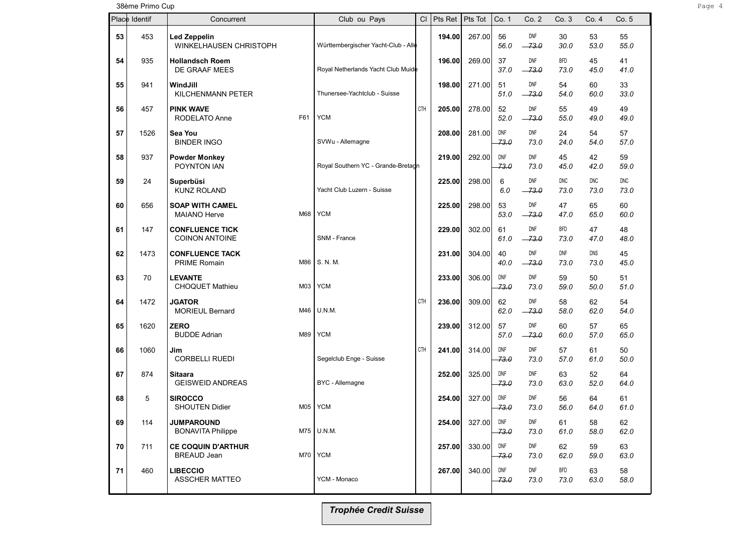38ème Primo Cup Page 4 and 2012 and 2013 and 2014 and 2013 and 2014 and 2013 and 2014 and 2014 and 2014 and 20

|    | Place Identif | Concurrent                                             | Club ou Pays                        | CI         | Pts Ret | Pts Tot | Co. 1              | Co. 2                 | Co. 3              | Co. 4              | Co. 5              |
|----|---------------|--------------------------------------------------------|-------------------------------------|------------|---------|---------|--------------------|-----------------------|--------------------|--------------------|--------------------|
| 53 | 453           | <b>Led Zeppelin</b><br>WINKELHAUSEN CHRISTOPH          | Württembergischer Yacht-Club - Alle |            | 194.00  | 267.00  | 56<br>56.0         | DNF<br>$-73.0$        | 30<br>30.0         | 53<br>53.0         | 55<br>55.0         |
| 54 | 935           | <b>Hollandsch Roem</b><br>DE GRAAF MEES                | Royal Netherlands Yacht Club Muide  |            | 196.00  | 269.00  | 37<br>37.0         | <b>DNF</b><br>$-73.0$ | <b>BFD</b><br>73.0 | 45<br>45.0         | 41<br>41.0         |
| 55 | 941           | WindJill<br>KILCHENMANN PETER                          | Thunersee-Yachtclub - Suisse        |            | 198.00  | 271.00  | 51<br>51.0         | DNF<br>$-73.0$        | 54<br>54.0         | 60<br>60.0         | 33<br>33.0         |
| 56 | 457           | <b>PINK WAVE</b><br>F61<br>RODELATO Anne               | <b>YCM</b>                          | <b>CTH</b> | 205.00  | 278.00  | 52<br>52.0         | DNF<br>$-73.0$        | 55<br>55.0         | 49<br>49.0         | 49<br>49.0         |
| 57 | 1526          | Sea You<br><b>BINDER INGO</b>                          | SVWu - Allemagne                    |            | 208.00  | 281.00  | DNF<br>73.0        | DNF<br>73.0           | 24<br>24.0         | 54<br>54.0         | 57<br>57.0         |
| 58 | 937           | <b>Powder Monkey</b><br>POYNTON IAN                    | Royal Southern YC - Grande-Bretagn  |            | 219.00  | 292.00  | <b>DNF</b><br>73.0 | <b>DNF</b><br>73.0    | 45<br>45.0         | 42<br>42.0         | 59<br>59.0         |
| 59 | 24            | Superbüsi<br><b>KUNZ ROLAND</b>                        | Yacht Club Luzern - Suisse          |            | 225.00  | 298.00  | 6<br>6.0           | DNF<br>$-73.0$        | <b>DNC</b><br>73.0 | <b>DNC</b><br>73.0 | <b>DNC</b><br>73.0 |
| 60 | 656           | <b>SOAP WITH CAMEL</b><br>M68<br><b>MAIANO Herve</b>   | <b>YCM</b>                          |            | 225.00  | 298.00  | 53<br>53.0         | <b>DNF</b><br>$-73.0$ | 47<br>47.0         | 65<br>65.0         | 60<br>60.0         |
| 61 | 147           | <b>CONFLUENCE TICK</b><br><b>COINON ANTOINE</b>        | SNM - France                        |            | 229.00  | 302.00  | 61<br>61.0         | DNF<br>$-73.0$        | <b>BFD</b><br>73.0 | 47<br>47.0         | 48<br>48.0         |
| 62 | 1473          | <b>CONFLUENCE TACK</b><br><b>PRIME Romain</b><br>M86   | S. N. M.                            |            | 231.00  | 304.00  | 40<br>40.0         | <b>DNF</b><br>$-73.0$ | DNF<br>73.0        | DNS<br>73.0        | 45<br>45.0         |
| 63 | 70            | <b>LEVANTE</b><br><b>CHOQUET Mathieu</b><br>M03        | <b>YCM</b>                          |            | 233.00  | 306.00  | DNF<br>-73.0       | DNF<br>73.0           | 59<br>59.0         | 50<br>50.0         | 51<br>51.0         |
| 64 | 1472          | <b>JGATOR</b><br><b>MORIEUL Bernard</b><br>M46         | U.N.M.                              | CTH        | 236.00  | 309.00  | 62<br>62.0         | DNF<br>$-73.0$        | 58<br>58.0         | 62<br>62.0         | 54<br>54.0         |
| 65 | 1620          | <b>ZERO</b><br><b>BUDDE Adrian</b><br>M89              | <b>YCM</b>                          |            | 239.00  | 312.00  | 57<br>57.0         | DNF<br>$-73.0$        | 60<br>60.0         | 57<br>57.0         | 65<br>65.0         |
| 66 | 1060          | Jim<br><b>CORBELLI RUEDI</b>                           | Segelclub Enge - Suisse             | CTH        | 241.00  | 314.00  | DNF<br>73.0        | <b>DNF</b><br>73.0    | 57<br>57.0         | 61<br>61.0         | 50<br>50.0         |
| 67 | 874           | Sitaara<br><b>GEISWEID ANDREAS</b>                     | BYC - Allemagne                     |            | 252.00  | 325.00  | DNF<br>-73.0       | <b>DNF</b><br>73.0    | 63<br>63.0         | 52<br>52.0         | 64<br>64.0         |
| 68 | 5             | <b>SIROCCO</b><br><b>SHOUTEN Didier</b><br>M05         | <b>YCM</b>                          |            | 254.00  | 327.00  | DNF<br>73.0        | <b>DNF</b><br>73.0    | 56<br>56.0         | 64<br>64.0         | 61<br>61.0         |
| 69 | 114           | <b>JUMPAROUND</b><br><b>BONAVITA Philippe</b>          | $M75$ U.N.M.                        |            | 254.00  | 327.00  | DNF<br>-73.0       | <b>DNF</b><br>73.0    | 61<br>61.0         | 58<br>58.0         | 62<br>62.0         |
| 70 | 711           | <b>CE COQUIN D'ARTHUR</b><br>M70<br><b>BREAUD Jean</b> | <b>YCM</b>                          |            | 257.00  | 330.00  | DNF<br>-73.0       | DNF<br>73.0           | 62<br>62.0         | 59<br>59.0         | 63<br>63.0         |
| 71 | 460           | <b>LIBECCIO</b><br><b>ASSCHER MATTEO</b>               | YCM - Monaco                        |            | 267.00  | 340.00  | <b>DNF</b><br>73.0 | DNF<br>73.0           | <b>BFD</b><br>73.0 | 63<br>63.0         | 58<br>58.0         |